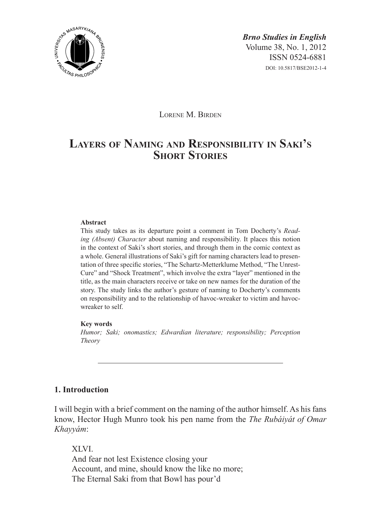

Lorene M. Birden

# **Layers of Naming and Responsibility in Saki's Short Stories**

#### **Abstract**

This study takes as its departure point a comment in Tom Docherty's *Reading (Absent) Character* about naming and responsibility. It places this notion in the context of Saki's short stories, and through them in the comic context as a whole. General illustrations of Saki's gift for naming characters lead to presentation of three specific stories, "The Schartz-Metterklume Method, "The Unrest-Cure" and "Shock Treatment", which involve the extra "layer" mentioned in the title, as the main characters receive or take on new names for the duration of the story. The study links the author's gesture of naming to Docherty's comments on responsibility and to the relationship of havoc-wreaker to victim and havocwreaker to self.

#### **Key words**

*Humor; Saki; onomastics; Edwardian literature; responsibility; Perception Theory*

## **1. Introduction**

I will begin with a brief comment on the naming of the author himself. As his fans know, Hector Hugh Munro took his pen name from the *The Rubáiyát of Omar Khayyám*:

XLVI. And fear not lest Existence closing your Account, and mine, should know the like no more; The Eternal Saki from that Bowl has pour'd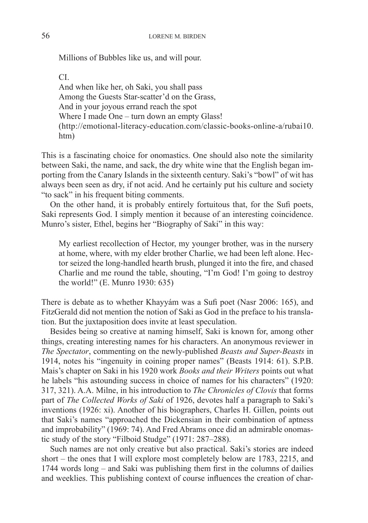Millions of Bubbles like us, and will pour.

CI. And when like her, oh Saki, you shall pass Among the Guests Star-scatter'd on the Grass, And in your joyous errand reach the spot Where I made One – turn down an empty Glass! (http://emotional-literacy-education.com/classic-books-online-a/rubai10. htm)

This is a fascinating choice for onomastics. One should also note the similarity between Saki, the name, and sack, the dry white wine that the English began importing from the Canary Islands in the sixteenth century. Saki's "bowl" of wit has always been seen as dry, if not acid. And he certainly put his culture and society "to sack" in his frequent biting comments.

On the other hand, it is probably entirely fortuitous that, for the Sufi poets, Saki represents God. I simply mention it because of an interesting coincidence. Munro's sister, Ethel, begins her "Biography of Saki" in this way:

My earliest recollection of Hector, my younger brother, was in the nursery at home, where, with my elder brother Charlie, we had been left alone. Hector seized the long-handled hearth brush, plunged it into the fire, and chased Charlie and me round the table, shouting, "I'm God! I'm going to destroy the world!" (E. Munro 1930: 635)

There is debate as to whether Khayyám was a Sufi poet (Nasr 2006: 165), and FitzGerald did not mention the notion of Saki as God in the preface to his translation. But the juxtaposition does invite at least speculation.

Besides being so creative at naming himself, Saki is known for, among other things, creating interesting names for his characters. An anonymous reviewer in *The Spectator*, commenting on the newly-published *Beasts and Super-Beasts* in 1914, notes his "ingenuity in coining proper names" (Beasts 1914: 61). S.P.B. Mais's chapter on Saki in his 1920 work *Books and their Writers* points out what he labels "his astounding success in choice of names for his characters" (1920: 317, 321). A.A. Milne, in his introduction to *The Chronicles of Clovis* that forms part of *The Collected Works of Saki* of 1926, devotes half a paragraph to Saki's inventions (1926: xi). Another of his biographers, Charles H. Gillen, points out that Saki's names "approached the Dickensian in their combination of aptness and improbability" (1969: 74). And Fred Abrams once did an admirable onomastic study of the story "Filboid Studge" (1971: 287–288).

Such names are not only creative but also practical. Saki's stories are indeed short – the ones that I will explore most completely below are 1783, 2215, and 1744 words long – and Saki was publishing them first in the columns of dailies and weeklies. This publishing context of course influences the creation of char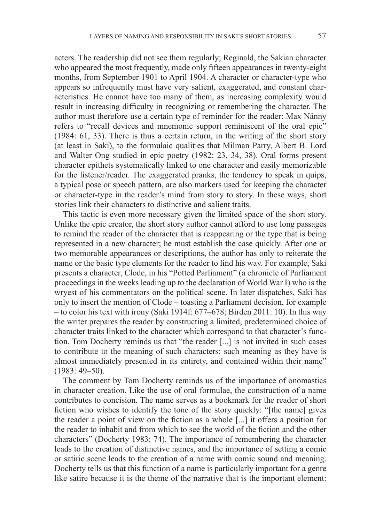acters. The readership did not see them regularly; Reginald, the Sakian character who appeared the most frequently, made only fifteen appearances in twenty-eight months, from September 1901 to April 1904. A character or character-type who appears so infrequently must have very salient, exaggerated, and constant characteristics. He cannot have too many of them, as increasing complexity would result in increasing difficulty in recognizing or remembering the character. The author must therefore use a certain type of reminder for the reader: Max Nänny refers to "recall devices and mnemonic support reminiscent of the oral epic" (1984: 61, 33). There is thus a certain return, in the writing of the short story (at least in Saki), to the formulaic qualities that Milman Parry, Albert B. Lord and Walter Ong studied in epic poetry (1982: 23, 34, 38). Oral forms present character epithets systematically linked to one character and easily memorizable for the listener/reader. The exaggerated pranks, the tendency to speak in quips, a typical pose or speech pattern, are also markers used for keeping the character or character-type in the reader's mind from story to story. In these ways, short stories link their characters to distinctive and salient traits.

This tactic is even more necessary given the limited space of the short story. Unlike the epic creator, the short story author cannot afford to use long passages to remind the reader of the character that is reappearing or the type that is being represented in a new character; he must establish the case quickly. After one or two memorable appearances or descriptions, the author has only to reiterate the name or the basic type elements for the reader to find his way. For example, Saki presents a character, Clode, in his "Potted Parliament" (a chronicle of Parliament proceedings in the weeks leading up to the declaration of World War I) who is the wryest of his commentators on the political scene. In later dispatches, Saki has only to insert the mention of Clode – toasting a Parliament decision, for example – to color his text with irony (Saki 1914f: 677–678; Birden 2011: 10). In this way the writer prepares the reader by constructing a limited, predetermined choice of character traits linked to the character which correspond to that character's function. Tom Docherty reminds us that "the reader [...] is not invited in such cases to contribute to the meaning of such characters: such meaning as they have is almost immediately presented in its entirety, and contained within their name" (1983: 49–50).

The comment by Tom Docherty reminds us of the importance of onomastics in character creation. Like the use of oral formulae, the construction of a name contributes to concision. The name serves as a bookmark for the reader of short fiction who wishes to identify the tone of the story quickly: "[the name] gives the reader a point of view on the fiction as a whole [...] it offers a position for the reader to inhabit and from which to see the world of the fiction and the other characters" (Docherty 1983: 74). The importance of remembering the character leads to the creation of distinctive names, and the importance of setting a comic or satiric scene leads to the creation of a name with comic sound and meaning. Docherty tells us that this function of a name is particularly important for a genre like satire because it is the theme of the narrative that is the important element: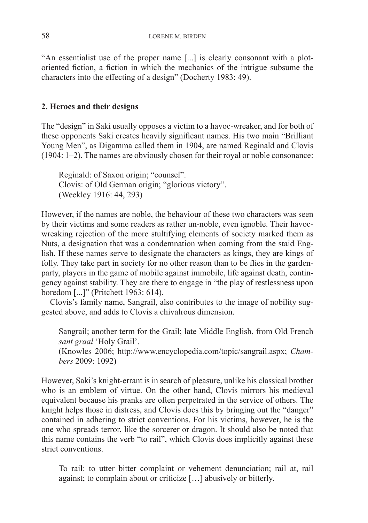"An essentialist use of the proper name [...] is clearly consonant with a plotoriented fiction, a fiction in which the mechanics of the intrigue subsume the characters into the effecting of a design" (Docherty 1983: 49).

### **2. Heroes and their designs**

The "design" in Saki usually opposes a victim to a havoc-wreaker, and for both of these opponents Saki creates heavily significant names. His two main "Brilliant Young Men", as Digamma called them in 1904, are named Reginald and Clovis (1904: 1–2). The names are obviously chosen for their royal or noble consonance:

Reginald: of Saxon origin; "counsel". Clovis: of Old German origin; "glorious victory". (Weekley 1916: 44, 293)

However, if the names are noble, the behaviour of these two characters was seen by their victims and some readers as rather un-noble, even ignoble. Their havocwreaking rejection of the more stultifying elements of society marked them as Nuts, a designation that was a condemnation when coming from the staid English. If these names serve to designate the characters as kings, they are kings of folly. They take part in society for no other reason than to be flies in the gardenparty, players in the game of mobile against immobile, life against death, contingency against stability. They are there to engage in "the play of restlessness upon boredom [...]" (Pritchett 1963: 614).

Clovis's family name, Sangrail, also contributes to the image of nobility suggested above, and adds to Clovis a chivalrous dimension.

Sangrail; another term for the Grail; late Middle English, from Old French *sant graal* 'Holy Grail'.

(Knowles 2006; http://www.encyclopedia.com/topic/sangrail.aspx; *Chambers* 2009: 1092)

However, Saki's knight-errant is in search of pleasure, unlike his classical brother who is an emblem of virtue. On the other hand, Clovis mirrors his medieval equivalent because his pranks are often perpetrated in the service of others. The knight helps those in distress, and Clovis does this by bringing out the "danger" contained in adhering to strict conventions. For his victims, however, he is the one who spreads terror, like the sorcerer or dragon. It should also be noted that this name contains the verb "to rail", which Clovis does implicitly against these strict conventions.

To rail: to utter bitter complaint or vehement denunciation; rail at, rail against; to complain about or criticize […] abusively or bitterly.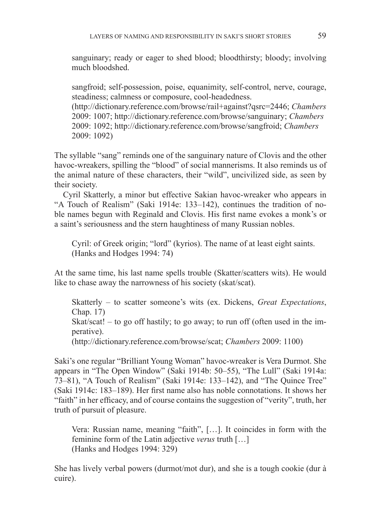sanguinary; ready or eager to shed blood; bloodthirsty; bloody; involving much bloodshed.

sangfroid; self-possession, poise, equanimity, self-control, nerve, courage, steadiness; calmness or composure, cool-headedness.

(http://dictionary.reference.com/browse/rail+against?qsrc=2446; *Chambers* 2009: 1007; http://dictionary.reference.com/browse/sanguinary; *Chambers* 2009: 1092; http://dictionary.reference.com/browse/sangfroid; *Chambers* 2009: 1092)

The syllable "sang" reminds one of the sanguinary nature of Clovis and the other havoc-wreakers, spilling the "blood" of social mannerisms. It also reminds us of the animal nature of these characters, their "wild", uncivilized side, as seen by their society.

Cyril Skatterly, a minor but effective Sakian havoc-wreaker who appears in "A Touch of Realism" (Saki 1914e: 133–142), continues the tradition of noble names begun with Reginald and Clovis. His first name evokes a monk's or a saint's seriousness and the stern haughtiness of many Russian nobles.

Cyril: of Greek origin; "lord" (kyrios). The name of at least eight saints. (Hanks and Hodges 1994: 74)

At the same time, his last name spells trouble (Skatter/scatters wits). He would like to chase away the narrowness of his society (skat/scat).

Skatterly – to scatter someone's wits (ex. Dickens, *Great Expectations*, Chap. 17) Skat/scat! – to go off hastily; to go away; to run off (often used in the imperative). (http://dictionary.reference.com/browse/scat; *Chambers* 2009: 1100)

Saki's one regular "Brilliant Young Woman" havoc-wreaker is Vera Durmot. She appears in "The Open Window" (Saki 1914b: 50–55), "The Lull" (Saki 1914a: 73–81), "A Touch of Realism" (Saki 1914e: 133–142), and "The Quince Tree" (Saki 1914c: 183–189). Her first name also has noble connotations. It shows her "faith" in her efficacy, and of course contains the suggestion of "verity", truth, her truth of pursuit of pleasure.

Vera: Russian name, meaning "faith", […]. It coincides in form with the feminine form of the Latin adjective *verus* truth […] (Hanks and Hodges 1994: 329)

She has lively verbal powers (durmot/mot dur), and she is a tough cookie (dur à cuire).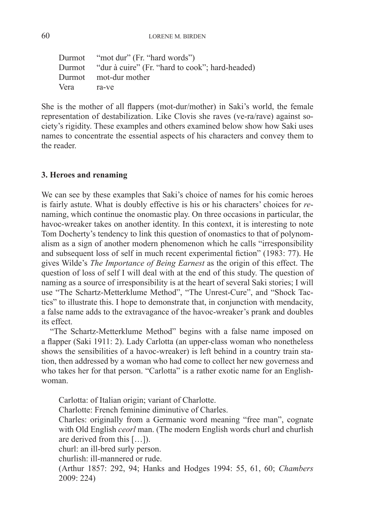|      | Durmot "mot dur" (Fr. "hard words")                    |
|------|--------------------------------------------------------|
|      | Durmot "dur à cuire" (Fr. "hard to cook"; hard-headed) |
|      | Durmot mot-dur mother                                  |
| Vera | ra-ve                                                  |

She is the mother of all flappers (mot-dur/mother) in Saki's world, the female representation of destabilization. Like Clovis she raves (ve-ra/rave) against society's rigidity. These examples and others examined below show how Saki uses names to concentrate the essential aspects of his characters and convey them to the reader.

## **3. Heroes and renaming**

We can see by these examples that Saki's choice of names for his comic heroes is fairly astute. What is doubly effective is his or his characters' choices for *re*naming, which continue the onomastic play. On three occasions in particular, the havoc-wreaker takes on another identity. In this context, it is interesting to note Tom Docherty's tendency to link this question of onomastics to that of polynomalism as a sign of another modern phenomenon which he calls "irresponsibility and subsequent loss of self in much recent experimental fiction" (1983: 77). He gives Wilde's *The Importance of Being Earnest* as the origin of this effect. The question of loss of self I will deal with at the end of this study. The question of naming as a source of irresponsibility is at the heart of several Saki stories; I will use "The Schartz-Metterklume Method", "The Unrest-Cure", and "Shock Tactics" to illustrate this. I hope to demonstrate that, in conjunction with mendacity, a false name adds to the extravagance of the havoc-wreaker's prank and doubles its effect.

"The Schartz-Metterklume Method" begins with a false name imposed on a flapper (Saki 1911: 2). Lady Carlotta (an upper-class woman who nonetheless shows the sensibilities of a havoc-wreaker) is left behind in a country train station, then addressed by a woman who had come to collect her new governess and who takes her for that person. "Carlotta" is a rather exotic name for an Englishwoman.

Carlotta: of Italian origin; variant of Charlotte. Charlotte: French feminine diminutive of Charles. Charles: originally from a Germanic word meaning "free man", cognate with Old English *ceorl* man. (The modern English words churl and churlish are derived from this […]). churl: an ill-bred surly person. churlish: ill-mannered or rude. (Arthur 1857: 292, 94; Hanks and Hodges 1994: 55, 61, 60; *Chambers* 2009: 224)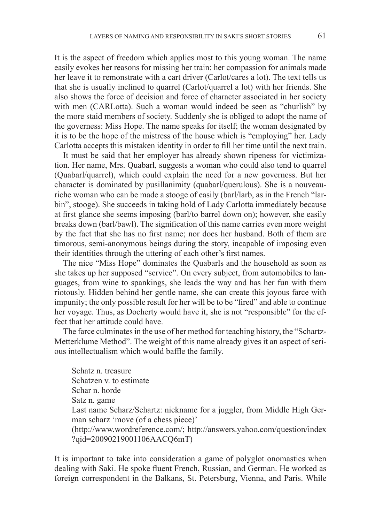It is the aspect of freedom which applies most to this young woman. The name easily evokes her reasons for missing her train: her compassion for animals made her leave it to remonstrate with a cart driver (Carlot/cares a lot). The text tells us that she is usually inclined to quarrel (Carlot/quarrel a lot) with her friends. She also shows the force of decision and force of character associated in her society with men (CARLotta). Such a woman would indeed be seen as "churlish" by the more staid members of society. Suddenly she is obliged to adopt the name of the governess: Miss Hope. The name speaks for itself; the woman designated by it is to be the hope of the mistress of the house which is "employing" her. Lady Carlotta accepts this mistaken identity in order to fill her time until the next train.

It must be said that her employer has already shown ripeness for victimization. Her name, Mrs. Quabarl, suggests a woman who could also tend to quarrel (Quabarl/quarrel), which could explain the need for a new governess. But her character is dominated by pusillanimity (quabarl/querulous). She is a nouveauriche woman who can be made a stooge of easily (barl/larb, as in the French "larbin", stooge). She succeeds in taking hold of Lady Carlotta immediately because at first glance she seems imposing (barl/to barrel down on); however, she easily breaks down (barl/bawl). The signification of this name carries even more weight by the fact that she has no first name; nor does her husband. Both of them are timorous, semi-anonymous beings during the story, incapable of imposing even their identities through the uttering of each other's first names.

The nice "Miss Hope" dominates the Quabarls and the household as soon as she takes up her supposed "service". On every subject, from automobiles to languages, from wine to spankings, she leads the way and has her fun with them riotously. Hidden behind her gentle name, she can create this joyous farce with impunity; the only possible result for her will be to be "fired" and able to continue her voyage. Thus, as Docherty would have it, she is not "responsible" for the effect that her attitude could have.

The farce culminates in the use of her method for teaching history, the "Schartz-Metterklume Method". The weight of this name already gives it an aspect of serious intellectualism which would baffle the family.

Schatz n. treasure Schatzen v. to estimate Schar n. horde Satz n. game Last name Scharz/Schartz: nickname for a juggler, from Middle High German scharz 'move (of a chess piece)' (http://www.wordreference.com/; http://answers.yahoo.com/question/index ?qid=20090219001106AACQ6mT)

It is important to take into consideration a game of polyglot onomastics when dealing with Saki. He spoke fluent French, Russian, and German. He worked as foreign correspondent in the Balkans, St. Petersburg, Vienna, and Paris. While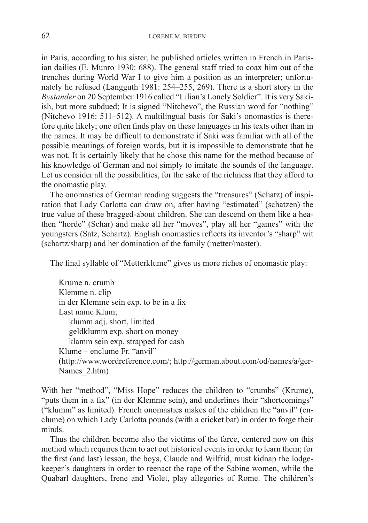in Paris, according to his sister, he published articles written in French in Parisian dailies (E. Munro 1930: 688). The general staff tried to coax him out of the trenches during World War I to give him a position as an interpreter; unfortunately he refused (Langguth 1981: 254–255, 269). There is a short story in the *Bystander* on 20 September 1916 called "Lilian's Lonely Soldier". It is very Sakiish, but more subdued; It is signed "Nitchevo", the Russian word for "nothing" (Nitchevo 1916: 511–512). A multilingual basis for Saki's onomastics is therefore quite likely; one often finds play on these languages in his texts other than in the names. It may be difficult to demonstrate if Saki was familiar with all of the possible meanings of foreign words, but it is impossible to demonstrate that he was not. It is certainly likely that he chose this name for the method because of his knowledge of German and not simply to imitate the sounds of the language. Let us consider all the possibilities, for the sake of the richness that they afford to the onomastic play.

The onomastics of German reading suggests the "treasures" (Schatz) of inspiration that Lady Carlotta can draw on, after having "estimated" (schatzen) the true value of these bragged-about children. She can descend on them like a heathen "horde" (Schar) and make all her "moves", play all her "games" with the youngsters (Satz, Schartz). English onomastics reflects its inventor's "sharp" wit (schartz/sharp) and her domination of the family (metter/master).

The final syllable of "Metterklume" gives us more riches of onomastic play:

Krume n. crumb Klemme n. clip in der Klemme sein exp. to be in a fix Last name Klum; klumm adj. short, limited geldklumm exp. short on money klamm sein exp. strapped for cash Klume – enclume Fr. "anvil" (http://www.wordreference.com/; http://german.about.com/od/names/a/ger-Names 2.htm)

With her "method", "Miss Hope" reduces the children to "crumbs" (Krume), "puts them in a fix" (in der Klemme sein), and underlines their "shortcomings" ("klumm" as limited). French onomastics makes of the children the "anvil" (enclume) on which Lady Carlotta pounds (with a cricket bat) in order to forge their minds.

Thus the children become also the victims of the farce, centered now on this method which requires them to act out historical events in order to learn them; for the first (and last) lesson, the boys, Claude and Wilfrid, must kidnap the lodgekeeper's daughters in order to reenact the rape of the Sabine women, while the Quabarl daughters, Irene and Violet, play allegories of Rome. The children's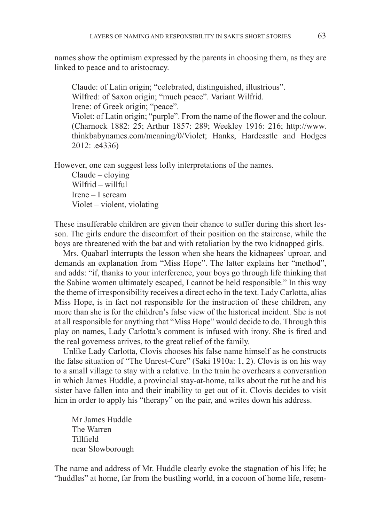names show the optimism expressed by the parents in choosing them, as they are linked to peace and to aristocracy.

Claude: of Latin origin; "celebrated, distinguished, illustrious". Wilfred: of Saxon origin; "much peace". Variant Wilfrid. Irene: of Greek origin; "peace".

Violet: of Latin origin; "purple". From the name of the flower and the colour. (Charnock 1882: 25; Arthur 1857: 289; Weekley 1916: 216; http://www. thinkbabynames.com/meaning/0/Violet; Hanks, Hardcastle and Hodges 2012: .e4336)

However, one can suggest less lofty interpretations of the names.

Claude – cloying Wilfrid – willful Irene – I scream Violet – violent, violating

These insufferable children are given their chance to suffer during this short lesson. The girls endure the discomfort of their position on the staircase, while the boys are threatened with the bat and with retaliation by the two kidnapped girls.

Mrs. Quabarl interrupts the lesson when she hears the kidnapees' uproar, and demands an explanation from "Miss Hope". The latter explains her "method", and adds: "if, thanks to your interference, your boys go through life thinking that the Sabine women ultimately escaped, I cannot be held responsible." In this way the theme of irresponsibility receives a direct echo in the text. Lady Carlotta, alias Miss Hope, is in fact not responsible for the instruction of these children, any more than she is for the children's false view of the historical incident. She is not at all responsible for anything that "Miss Hope" would decide to do. Through this play on names, Lady Carlotta's comment is infused with irony. She is fired and the real governess arrives, to the great relief of the family.

Unlike Lady Carlotta, Clovis chooses his false name himself as he constructs the false situation of "The Unrest-Cure" (Saki 1910a: 1, 2). Clovis is on his way to a small village to stay with a relative. In the train he overhears a conversation in which James Huddle, a provincial stay-at-home, talks about the rut he and his sister have fallen into and their inability to get out of it. Clovis decides to visit him in order to apply his "therapy" on the pair, and writes down his address.

Mr James Huddle The Warren Tillfield near Slowborough

The name and address of Mr. Huddle clearly evoke the stagnation of his life; he "huddles" at home, far from the bustling world, in a cocoon of home life, resem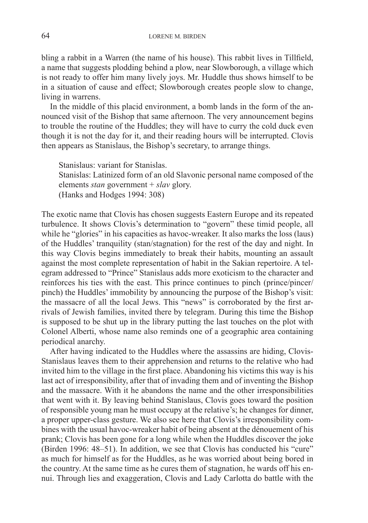bling a rabbit in a Warren (the name of his house). This rabbit lives in Tillfield, a name that suggests plodding behind a plow, near Slowborough, a village which is not ready to offer him many lively joys. Mr. Huddle thus shows himself to be in a situation of cause and effect; Slowborough creates people slow to change, living in warrens.

In the middle of this placid environment, a bomb lands in the form of the announced visit of the Bishop that same afternoon. The very announcement begins to trouble the routine of the Huddles; they will have to curry the cold duck even though it is not the day for it, and their reading hours will be interrupted. Clovis then appears as Stanislaus, the Bishop's secretary, to arrange things.

Stanislaus: variant for Stanislas. Stanislas: Latinized form of an old Slavonic personal name composed of the elements *stan* government + *slav* glory. (Hanks and Hodges 1994: 308)

The exotic name that Clovis has chosen suggests Eastern Europe and its repeated turbulence. It shows Clovis's determination to "govern" these timid people, all while he "glories" in his capacities as havoc-wreaker. It also marks the loss (laus) of the Huddles' tranquility (stan/stagnation) for the rest of the day and night. In this way Clovis begins immediately to break their habits, mounting an assault against the most complete representation of habit in the Sakian repertoire. A telegram addressed to "Prince" Stanislaus adds more exoticism to the character and reinforces his ties with the east. This prince continues to pinch (prince/pincer/ pinch) the Huddles' immobility by announcing the purpose of the Bishop's visit: the massacre of all the local Jews. This "news" is corroborated by the first arrivals of Jewish families, invited there by telegram. During this time the Bishop is supposed to be shut up in the library putting the last touches on the plot with Colonel Alberti, whose name also reminds one of a geographic area containing periodical anarchy.

After having indicated to the Huddles where the assassins are hiding, Clovis-Stanislaus leaves them to their apprehension and returns to the relative who had invited him to the village in the first place. Abandoning his victims this way is his last act of irresponsibility, after that of invading them and of inventing the Bishop and the massacre. With it he abandons the name and the other irresponsibilities that went with it. By leaving behind Stanislaus, Clovis goes toward the position of responsible young man he must occupy at the relative's; he changes for dinner, a proper upper-class gesture. We also see here that Clovis's irresponsibility combines with the usual havoc-wreaker habit of being absent at the dénouement of his prank; Clovis has been gone for a long while when the Huddles discover the joke (Birden 1996: 48–51). In addition, we see that Clovis has conducted his "cure" as much for himself as for the Huddles, as he was worried about being bored in the country. At the same time as he cures them of stagnation, he wards off his ennui. Through lies and exaggeration, Clovis and Lady Carlotta do battle with the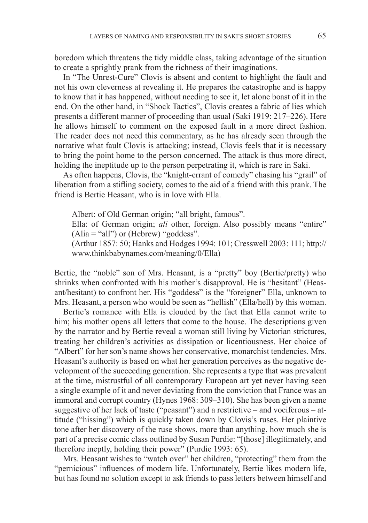boredom which threatens the tidy middle class, taking advantage of the situation to create a sprightly prank from the richness of their imaginations.

In "The Unrest-Cure" Clovis is absent and content to highlight the fault and not his own cleverness at revealing it. He prepares the catastrophe and is happy to know that it has happened, without needing to see it, let alone boast of it in the end. On the other hand, in "Shock Tactics", Clovis creates a fabric of lies which presents a different manner of proceeding than usual (Saki 1919: 217–226). Here he allows himself to comment on the exposed fault in a more direct fashion. The reader does not need this commentary, as he has already seen through the narrative what fault Clovis is attacking; instead, Clovis feels that it is necessary to bring the point home to the person concerned. The attack is thus more direct, holding the ineptitude up to the person perpetrating it, which is rare in Saki.

As often happens, Clovis, the "knight-errant of comedy" chasing his "grail" of liberation from a stifling society, comes to the aid of a friend with this prank. The friend is Bertie Heasant, who is in love with Ella.

Albert: of Old German origin; "all bright, famous".

Ella: of German origin; *ali* other, foreign. Also possibly means "entire"  $(Alia = "all")$  or  $(Hebrew) "gooddess".$ 

(Arthur 1857: 50; Hanks and Hodges 1994: 101; Cresswell 2003: 111; http:// www.thinkbabynames.com/meaning/0/Ella)

Bertie, the "noble" son of Mrs. Heasant, is a "pretty" boy (Bertie/pretty) who shrinks when confronted with his mother's disapproval. He is "hesitant" (Heasant/hesitant) to confront her. His "goddess" is the "foreigner" Ella, unknown to Mrs. Heasant, a person who would be seen as "hellish" (Ella/hell) by this woman.

Bertie's romance with Ella is clouded by the fact that Ella cannot write to him; his mother opens all letters that come to the house. The descriptions given by the narrator and by Bertie reveal a woman still living by Victorian strictures, treating her children's activities as dissipation or licentiousness. Her choice of "Albert" for her son's name shows her conservative, monarchist tendencies. Mrs. Heasant's authority is based on what her generation perceives as the negative development of the succeeding generation. She represents a type that was prevalent at the time, mistrustful of all contemporary European art yet never having seen a single example of it and never deviating from the conviction that France was an immoral and corrupt country (Hynes 1968: 309–310). She has been given a name suggestive of her lack of taste ("peasant") and a restrictive – and vociferous – attitude ("hissing") which is quickly taken down by Clovis's ruses. Her plaintive tone after her discovery of the ruse shows, more than anything, how much she is part of a precise comic class outlined by Susan Purdie: "[those] illegitimately, and therefore ineptly, holding their power" (Purdie 1993: 65).

Mrs. Heasant wishes to "watch over" her children, "protecting" them from the "pernicious" influences of modern life. Unfortunately, Bertie likes modern life, but has found no solution except to ask friends to pass letters between himself and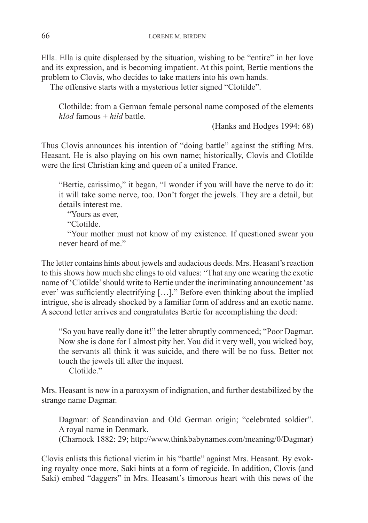Ella. Ella is quite displeased by the situation, wishing to be "entire" in her love and its expression, and is becoming impatient. At this point, Bertie mentions the problem to Clovis, who decides to take matters into his own hands.

The offensive starts with a mysterious letter signed "Clotilde".

Clothilde: from a German female personal name composed of the elements *hlōd* famous + *hild* battle.

(Hanks and Hodges 1994: 68)

Thus Clovis announces his intention of "doing battle" against the stifling Mrs. Heasant. He is also playing on his own name; historically, Clovis and Clotilde were the first Christian king and queen of a united France.

"Bertie, carissimo," it began, "I wonder if you will have the nerve to do it: it will take some nerve, too. Don't forget the jewels. They are a detail, but details interest me.

"Yours as ever,

"Clotilde.

"Your mother must not know of my existence. If questioned swear you never heard of me."

The letter contains hints about jewels and audacious deeds. Mrs. Heasant's reaction to this shows how much she clings to old values: "That any one wearing the exotic name of 'Clotilde' should write to Bertie under the incriminating announcement 'as ever' was sufficiently electrifying […]." Before even thinking about the implied intrigue, she is already shocked by a familiar form of address and an exotic name. A second letter arrives and congratulates Bertie for accomplishing the deed:

"So you have really done it!" the letter abruptly commenced; "Poor Dagmar. Now she is done for I almost pity her. You did it very well, you wicked boy, the servants all think it was suicide, and there will be no fuss. Better not touch the jewels till after the inquest.

Clotilde<sup>"</sup>

Mrs. Heasant is now in a paroxysm of indignation, and further destabilized by the strange name Dagmar.

Dagmar: of Scandinavian and Old German origin; "celebrated soldier". A royal name in Denmark.

(Charnock 1882: 29; http://www.thinkbabynames.com/meaning/0/Dagmar)

Clovis enlists this fictional victim in his "battle" against Mrs. Heasant. By evoking royalty once more, Saki hints at a form of regicide. In addition, Clovis (and Saki) embed "daggers" in Mrs. Heasant's timorous heart with this news of the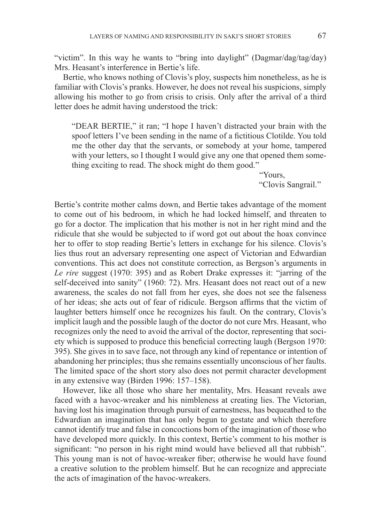"victim". In this way he wants to "bring into daylight" (Dagmar/dag/tag/day) Mrs. Heasant's interference in Bertie's life.

Bertie, who knows nothing of Clovis's ploy, suspects him nonetheless, as he is familiar with Clovis's pranks. However, he does not reveal his suspicions, simply allowing his mother to go from crisis to crisis. Only after the arrival of a third letter does he admit having understood the trick:

"DEAR BERTIE," it ran; "I hope I haven't distracted your brain with the spoof letters I've been sending in the name of a fictitious Clotilde. You told me the other day that the servants, or somebody at your home, tampered with your letters, so I thought I would give any one that opened them something exciting to read. The shock might do them good."

> "Yours, "Clovis Sangrail."

Bertie's contrite mother calms down, and Bertie takes advantage of the moment to come out of his bedroom, in which he had locked himself, and threaten to go for a doctor. The implication that his mother is not in her right mind and the ridicule that she would be subjected to if word got out about the hoax convince her to offer to stop reading Bertie's letters in exchange for his silence. Clovis's lies thus rout an adversary representing one aspect of Victorian and Edwardian conventions. This act does not constitute correction, as Bergson's arguments in *Le rire* suggest (1970: 395) and as Robert Drake expresses it: "jarring of the self-deceived into sanity" (1960: 72). Mrs. Heasant does not react out of a new awareness, the scales do not fall from her eyes, she does not see the falseness of her ideas; she acts out of fear of ridicule. Bergson affirms that the victim of laughter betters himself once he recognizes his fault. On the contrary, Clovis's implicit laugh and the possible laugh of the doctor do not cure Mrs. Heasant, who recognizes only the need to avoid the arrival of the doctor, representing that society which is supposed to produce this beneficial correcting laugh (Bergson 1970: 395). She gives in to save face, not through any kind of repentance or intention of abandoning her principles; thus she remains essentially unconscious of her faults. The limited space of the short story also does not permit character development in any extensive way (Birden 1996: 157–158).

However, like all those who share her mentality, Mrs. Heasant reveals awe faced with a havoc-wreaker and his nimbleness at creating lies. The Victorian, having lost his imagination through pursuit of earnestness, has bequeathed to the Edwardian an imagination that has only begun to gestate and which therefore cannot identify true and false in concoctions born of the imagination of those who have developed more quickly. In this context, Bertie's comment to his mother is significant: "no person in his right mind would have believed all that rubbish". This young man is not of havoc-wreaker fiber; otherwise he would have found a creative solution to the problem himself. But he can recognize and appreciate the acts of imagination of the havoc-wreakers.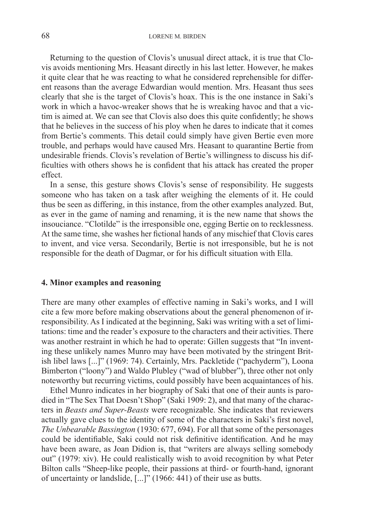Returning to the question of Clovis's unusual direct attack, it is true that Clovis avoids mentioning Mrs. Heasant directly in his last letter. However, he makes it quite clear that he was reacting to what he considered reprehensible for different reasons than the average Edwardian would mention. Mrs. Heasant thus sees clearly that she is the target of Clovis's hoax. This is the one instance in Saki's work in which a havoc-wreaker shows that he is wreaking havoc and that a victim is aimed at. We can see that Clovis also does this quite confidently; he shows that he believes in the success of his ploy when he dares to indicate that it comes from Bertie's comments. This detail could simply have given Bertie even more trouble, and perhaps would have caused Mrs. Heasant to quarantine Bertie from undesirable friends. Clovis's revelation of Bertie's willingness to discuss his difficulties with others shows he is confident that his attack has created the proper effect.

In a sense, this gesture shows Clovis's sense of responsibility. He suggests someone who has taken on a task after weighing the elements of it. He could thus be seen as differing, in this instance, from the other examples analyzed. But, as ever in the game of naming and renaming, it is the new name that shows the insouciance. "Clotilde" is the irresponsible one, egging Bertie on to recklessness. At the same time, she washes her fictional hands of any mischief that Clovis cares to invent, and vice versa. Secondarily, Bertie is not irresponsible, but he is not responsible for the death of Dagmar, or for his difficult situation with Ella.

#### **4. Minor examples and reasoning**

There are many other examples of effective naming in Saki's works, and I will cite a few more before making observations about the general phenomenon of irresponsibility. As I indicated at the beginning, Saki was writing with a set of limitations: time and the reader's exposure to the characters and their activities. There was another restraint in which he had to operate: Gillen suggests that "In inventing these unlikely names Munro may have been motivated by the stringent British libel laws [...]" (1969: 74). Certainly, Mrs. Packletide ("pachyderm"), Loona Bimberton ("loony") and Waldo Plubley ("wad of blubber"), three other not only noteworthy but recurring victims, could possibly have been acquaintances of his.

Ethel Munro indicates in her biography of Saki that one of their aunts is parodied in "The Sex That Doesn't Shop" (Saki 1909: 2), and that many of the characters in *Beasts and Super-Beasts* were recognizable. She indicates that reviewers actually gave clues to the identity of some of the characters in Saki's first novel, *The Unbearable Bassington* (1930: 677, 694). For all that some of the personages could be identifiable, Saki could not risk definitive identification. And he may have been aware, as Joan Didion is, that "writers are always selling somebody out" (1979: xiv). He could realistically wish to avoid recognition by what Peter Bilton calls "Sheep-like people, their passions at third- or fourth-hand, ignorant of uncertainty or landslide, [...]" (1966: 441) of their use as butts.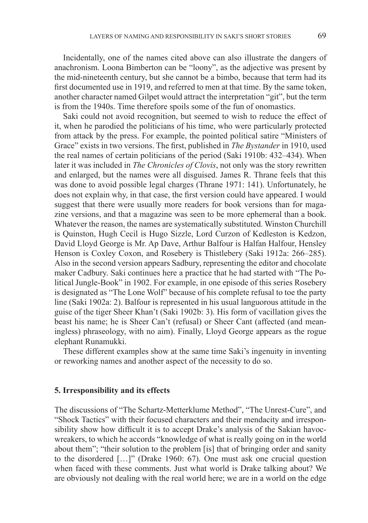Incidentally, one of the names cited above can also illustrate the dangers of anachronism. Loona Bimberton can be "loony", as the adjective was present by the mid-nineteenth century, but she cannot be a bimbo, because that term had its first documented use in 1919, and referred to men at that time. By the same token, another character named Gilpet would attract the interpretation "git", but the term is from the 1940s. Time therefore spoils some of the fun of onomastics.

Saki could not avoid recognition, but seemed to wish to reduce the effect of it, when he parodied the politicians of his time, who were particularly protected from attack by the press. For example, the pointed political satire "Ministers of Grace" exists in two versions. The first, published in *The Bystander* in 1910, used the real names of certain politicians of the period (Saki 1910b: 432–434). When later it was included in *The Chronicles of Clovis*, not only was the story rewritten and enlarged, but the names were all disguised. James R. Thrane feels that this was done to avoid possible legal charges (Thrane 1971: 141). Unfortunately, he does not explain why, in that case, the first version could have appeared. I would suggest that there were usually more readers for book versions than for magazine versions, and that a magazine was seen to be more ephemeral than a book. Whatever the reason, the names are systematically substituted. Winston Churchill is Quinston, Hugh Cecil is Hugo Sizzle, Lord Curzon of Kedleston is Kedzon, David Lloyd George is Mr. Ap Dave, Arthur Balfour is Halfan Halfour, Hensley Henson is Coxley Coxon, and Rosebery is Thistlebery (Saki 1912a: 266–285). Also in the second version appears Sadbury, representing the editor and chocolate maker Cadbury. Saki continues here a practice that he had started with "The Political Jungle-Book" in 1902. For example, in one episode of this series Rosebery is designated as "The Lone Wolf" because of his complete refusal to toe the party line (Saki 1902a: 2). Balfour is represented in his usual languorous attitude in the guise of the tiger Sheer Khan't (Saki 1902b: 3). His form of vacillation gives the beast his name; he is Sheer Can't (refusal) or Sheer Cant (affected (and meaningless) phraseology, with no aim). Finally, Lloyd George appears as the rogue elephant Runamukki.

These different examples show at the same time Saki's ingenuity in inventing or reworking names and another aspect of the necessity to do so.

#### **5. Irresponsibility and its effects**

The discussions of "The Schartz-Metterklume Method", "The Unrest-Cure", and "Shock Tactics" with their focused characters and their mendacity and irresponsibility show how difficult it is to accept Drake's analysis of the Sakian havocwreakers, to which he accords "knowledge of what is really going on in the world about them"; "their solution to the problem [is] that of bringing order and sanity to the disordered […]" (Drake 1960: 67). One must ask one crucial question when faced with these comments. Just what world is Drake talking about? We are obviously not dealing with the real world here; we are in a world on the edge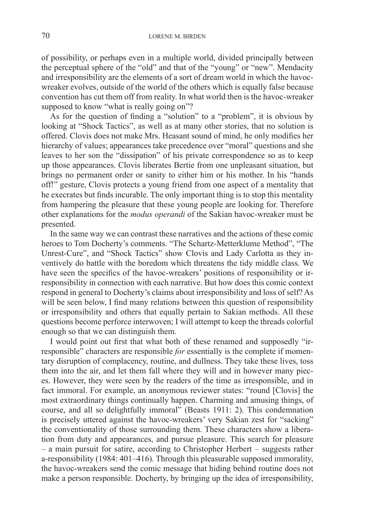of possibility, or perhaps even in a multiple world, divided principally between the perceptual sphere of the "old" and that of the "young" or "new". Mendacity and irresponsibility are the elements of a sort of dream world in which the havocwreaker evolves, outside of the world of the others which is equally false because convention has cut them off from reality. In what world then is the havoc-wreaker supposed to know "what is really going on"?

As for the question of finding a "solution" to a "problem", it is obvious by looking at "Shock Tactics", as well as at many other stories, that no solution is offered. Clovis does not make Mrs. Heasant sound of mind, he only modifies her hierarchy of values; appearances take precedence over "moral" questions and she leaves to her son the "dissipation" of his private correspondence so as to keep up those appearances. Clovis liberates Bertie from one unpleasant situation, but brings no permanent order or sanity to either him or his mother. In his "hands off!" gesture, Clovis protects a young friend from one aspect of a mentality that he execrates but finds incurable. The only important thing is to stop this mentality from hampering the pleasure that these young people are looking for. Therefore other explanations for the *modus operandi* of the Sakian havoc-wreaker must be presented.

In the same way we can contrast these narratives and the actions of these comic heroes to Tom Docherty's comments. "The Schartz-Metterklume Method", "The Unrest-Cure", and "Shock Tactics" show Clovis and Lady Carlotta as they inventively do battle with the boredom which threatens the tidy middle class. We have seen the specifics of the havoc-wreakers' positions of responsibility or irresponsibility in connection with each narrative. But how does this comic context respond in general to Docherty's claims about irresponsibility and loss of self? As will be seen below, I find many relations between this question of responsibility or irresponsibility and others that equally pertain to Sakian methods. All these questions become perforce interwoven; I will attempt to keep the threads colorful enough so that we can distinguish them.

I would point out first that what both of these renamed and supposedly "irresponsible" characters are responsible *for* essentially is the complete if momentary disruption of complacency, routine, and dullness. They take these lives, toss them into the air, and let them fall where they will and in however many pieces. However, they were seen by the readers of the time as irresponsible, and in fact immoral. For example, an anonymous reviewer states: "round [Clovis] the most extraordinary things continually happen. Charming and amusing things, of course, and all so delightfully immoral" (Beasts 1911: 2). This condemnation is precisely uttered against the havoc-wreakers' very Sakian zest for "sacking" the conventionality of those surrounding them. These characters show a liberation from duty and appearances, and pursue pleasure. This search for pleasure – a main pursuit for satire, according to Christopher Herbert – suggests rather a-responsibility (1984: 401–416). Through this pleasurable supposed immorality, the havoc-wreakers send the comic message that hiding behind routine does not make a person responsible. Docherty, by bringing up the idea of irresponsibility,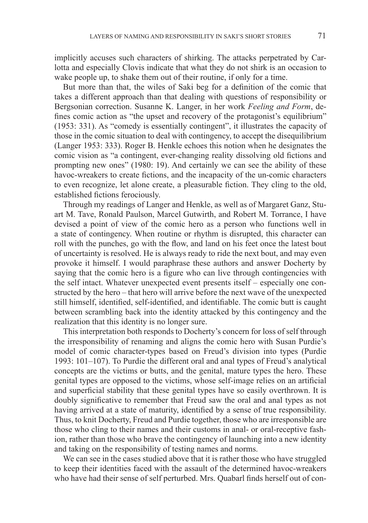implicitly accuses such characters of shirking. The attacks perpetrated by Carlotta and especially Clovis indicate that what they do not shirk is an occasion to wake people up, to shake them out of their routine, if only for a time.

But more than that, the wiles of Saki beg for a definition of the comic that takes a different approach than that dealing with questions of responsibility or Bergsonian correction. Susanne K. Langer, in her work *Feeling and Form*, defines comic action as "the upset and recovery of the protagonist's equilibrium" (1953: 331). As "comedy is essentially contingent", it illustrates the capacity of those in the comic situation to deal with contingency, to accept the disequilibrium (Langer 1953: 333). Roger B. Henkle echoes this notion when he designates the comic vision as "a contingent, ever-changing reality dissolving old fictions and prompting new ones" (1980: 19). And certainly we can see the ability of these havoc-wreakers to create fictions, and the incapacity of the un-comic characters to even recognize, let alone create, a pleasurable fiction. They cling to the old, established fictions ferociously.

Through my readings of Langer and Henkle, as well as of Margaret Ganz, Stuart M. Tave, Ronald Paulson, Marcel Gutwirth, and Robert M. Torrance, I have devised a point of view of the comic hero as a person who functions well in a state of contingency. When routine or rhythm is disrupted, this character can roll with the punches, go with the flow, and land on his feet once the latest bout of uncertainty is resolved. He is always ready to ride the next bout, and may even provoke it himself. I would paraphrase these authors and answer Docherty by saying that the comic hero is a figure who can live through contingencies with the self intact. Whatever unexpected event presents itself – especially one constructed by the hero – that hero will arrive before the next wave of the unexpected still himself, identified, self-identified, and identifiable. The comic butt is caught between scrambling back into the identity attacked by this contingency and the realization that this identity is no longer sure.

This interpretation both responds to Docherty's concern for loss of self through the irresponsibility of renaming and aligns the comic hero with Susan Purdie's model of comic character-types based on Freud's division into types (Purdie 1993: 101–107). To Purdie the different oral and anal types of Freud's analytical concepts are the victims or butts, and the genital, mature types the hero. These genital types are opposed to the victims, whose self-image relies on an artificial and superficial stability that these genital types have so easily overthrown. It is doubly significative to remember that Freud saw the oral and anal types as not having arrived at a state of maturity, identified by a sense of true responsibility. Thus, to knit Docherty, Freud and Purdie together, those who are irresponsible are those who cling to their names and their customs in anal- or oral-receptive fashion, rather than those who brave the contingency of launching into a new identity and taking on the responsibility of testing names and norms.

We can see in the cases studied above that it is rather those who have struggled to keep their identities faced with the assault of the determined havoc-wreakers who have had their sense of self perturbed. Mrs. Quabarl finds herself out of con-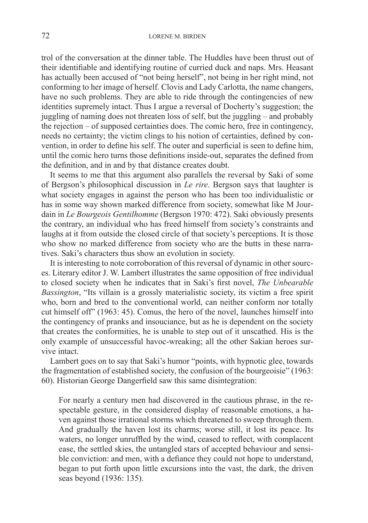trol of the conversation at the dinner table. The Huddles have been thrust out of their identifiable and identifying routine of curried duck and naps. Mrs. Heasant has actually been accused of "not being herself", not being in her right mind, not conforming to her image of herself. Clovis and Lady Carlotta, the name changers, have no such problems. They are able to ride through the contingencies of new identities supremely intact. Thus I argue a reversal of Docherty's suggestion; the juggling of naming does not threaten loss of self, but the juggling – and probably the rejection – of supposed certainties does. The comic hero, free in contingency, needs no certainty; the victim clings to his notion of certainties, defined by convention, in order to define his self. The outer and superficial is seen to define him, until the comic hero turns those definitions inside-out, separates the defined from the definition, and in and by that distance creates doubt.

It seems to me that this argument also parallels the reversal by Saki of some of Bergson's philosophical discussion in *Le rire*. Bergson says that laughter is what society engages in against the person who has been too individualistic or has in some way shown marked difference from society, somewhat like M Jourdain in *Le Bourgeois Gentilhomme* (Bergson 1970: 472). Saki obviously presents the contrary, an individual who has freed himself from society's constraints and laughs at it from outside the closed circle of that society's perceptions. It is those who show no marked difference from society who are the butts in these narratives. Saki's characters thus show an evolution in society.

It is interesting to note corroboration of this reversal of dynamic in other sources. Literary editor J. W. Lambert illustrates the same opposition of free individual to closed society when he indicates that in Saki's first novel, *The Unbearable Bassington*, "Its villain is a grossly materialistic society, its victim a free spirit who, born and bred to the conventional world, can neither conform nor totally cut himself off" (1963: 45). Comus, the hero of the novel, launches himself into the contingency of pranks and insouciance, but as he is dependent on the society that creates the conformities, he is unable to step out of it unscathed. His is the only example of unsuccessful havoc-wreaking; all the other Sakian heroes survive intact.

Lambert goes on to say that Saki's humor "points, with hypnotic glee, towards the fragmentation of established society, the confusion of the bourgeoisie" (1963: 60). Historian George Dangerfield saw this same disintegration:

For nearly a century men had discovered in the cautious phrase, in the respectable gesture, in the considered display of reasonable emotions, a haven against those irrational storms which threatened to sweep through them. And gradually the haven lost its charms; worse still, it lost its peace. Its waters, no longer unruffled by the wind, ceased to reflect, with complacent ease, the settled skies, the untangled stars of accepted behaviour and sensible conviction: and men, with a defiance they could not hope to understand, began to put forth upon little excursions into the vast, the dark, the driven seas beyond (1936: 135).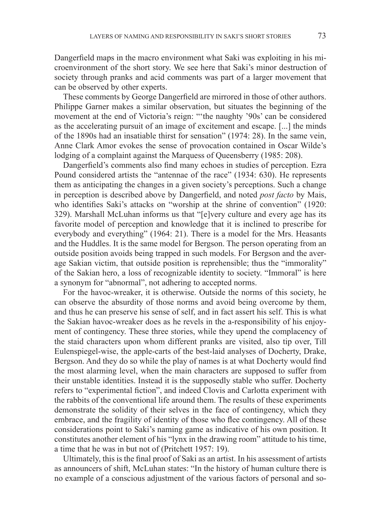Dangerfield maps in the macro environment what Saki was exploiting in his microenvironment of the short story. We see here that Saki's minor destruction of society through pranks and acid comments was part of a larger movement that can be observed by other experts.

These comments by George Dangerfield are mirrored in those of other authors. Philippe Garner makes a similar observation, but situates the beginning of the movement at the end of Victoria's reign: "'the naughty '90s' can be considered as the accelerating pursuit of an image of excitement and escape. [...] the minds of the 1890s had an insatiable thirst for sensation" (1974: 28). In the same vein, Anne Clark Amor evokes the sense of provocation contained in Oscar Wilde's lodging of a complaint against the Marquess of Queensberry (1985: 208).

Dangerfield's comments also find many echoes in studies of perception. Ezra Pound considered artists the "antennae of the race" (1934: 630). He represents them as anticipating the changes in a given society's perceptions. Such a change in perception is described above by Dangerfield, and noted *post facto* by Mais, who identifies Saki's attacks on "worship at the shrine of convention" (1920: 329). Marshall McLuhan informs us that "[e]very culture and every age has its favorite model of perception and knowledge that it is inclined to prescribe for everybody and everything" (1964: 21). There is a model for the Mrs. Heasants and the Huddles. It is the same model for Bergson. The person operating from an outside position avoids being trapped in such models. For Bergson and the average Sakian victim, that outside position is reprehensible; thus the "immorality" of the Sakian hero, a loss of recognizable identity to society. "Immoral" is here a synonym for "abnormal", not adhering to accepted norms.

For the havoc-wreaker, it is otherwise. Outside the norms of this society, he can observe the absurdity of those norms and avoid being overcome by them, and thus he can preserve his sense of self, and in fact assert his self. This is what the Sakian havoc-wreaker does as he revels in the a-responsibility of his enjoyment of contingency. These three stories, while they upend the complacency of the staid characters upon whom different pranks are visited, also tip over, Till Eulenspiegel-wise, the apple-carts of the best-laid analyses of Docherty, Drake, Bergson. And they do so while the play of names is at what Docherty would find the most alarming level, when the main characters are supposed to suffer from their unstable identities. Instead it is the supposedly stable who suffer. Docherty refers to "experimental fiction", and indeed Clovis and Carlotta experiment with the rabbits of the conventional life around them. The results of these experiments demonstrate the solidity of their selves in the face of contingency, which they embrace, and the fragility of identity of those who flee contingency. All of these considerations point to Saki's naming game as indicative of his own position. It constitutes another element of his "lynx in the drawing room" attitude to his time, a time that he was in but not of (Pritchett 1957: 19).

Ultimately, this is the final proof of Saki as an artist. In his assessment of artists as announcers of shift, McLuhan states: "In the history of human culture there is no example of a conscious adjustment of the various factors of personal and so-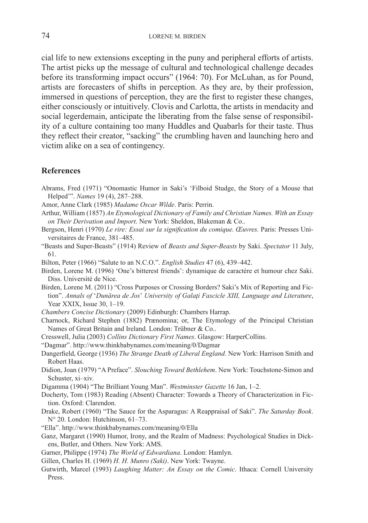cial life to new extensions excepting in the puny and peripheral efforts of artists. The artist picks up the message of cultural and technological challenge decades before its transforming impact occurs" (1964: 70). For McLuhan, as for Pound, artists are forecasters of shifts in perception. As they are, by their profession, immersed in questions of perception, they are the first to register these changes, either consciously or intuitively. Clovis and Carlotta, the artists in mendacity and social legerdemain, anticipate the liberating from the false sense of responsibility of a culture containing too many Huddles and Quabarls for their taste. Thus they reflect their creator, "sacking" the crumbling haven and launching hero and victim alike on a sea of contingency.

#### **References**

- Abrams, Fred (1971) "Onomastic Humor in Saki's 'Filboid Studge, the Story of a Mouse that Helped'". *Names* 19 (4), 287–288.
- Amor, Anne Clark (1985) *Madame Oscar Wilde*. Paris: Perrin.
- Arthur, William (1857) *An Etymological Dictionary of Family and Christian Names. With an Essay on Their Derivation and Import*. New York: Sheldon, Blakeman & Co..
- Bergson, Henri (1970) *Le rire: Essai sur la signification du comique. Œuvres.* Paris: Presses Universitaires de France, 381–485.
- "Beasts and Super-Beasts" (1914) Review of *Beasts and Super-Beasts* by Saki. *Spectator* 11 July, 61.
- Bilton, Peter (1966) "Salute to an N.C.O.". *English Studies* 47 (6), 439–442.
- Birden, Lorene M. (1996) 'One's bitterest friends': dynamique de caractère et humour chez Saki. Diss. Université de Nice.
- Birden, Lorene M. (2011) "Cross Purposes or Crossing Borders? Saki's Mix of Reporting and Fiction". *Annals of* '*Dunărea de Jos*' *University of Galaţi Fascicle XIII, Language and Literature*, Year XXIX, Issue 30, 1–19.
- *Chambers Concise Dictionary* (2009) Edinburgh: Chambers Harrap.
- Charnock, Richard Stephen (1882) Prænomina; or, The Etymology of the Principal Christian Names of Great Britain and Ireland. London: Trübner & Co..
- Cresswell, Julia (2003) *Collins Dictionary First Names*. Glasgow: HarperCollins.
- "Dagmar". http://www.thinkbabynames.com/meaning/0/Dagmar
- Dangerfield, George (1936) *The Strange Death of Liberal England*. New York: Harrison Smith and Robert Haas.
- Didion, Joan (1979) "A Preface". *Slouching Toward Bethlehem*. New York: Touchstone-Simon and Schuster, xi–xiv.
- Digamma (1904) "The Brilliant Young Man". *Westminster Gazette* 16 Jan, 1–2.
- Docherty, Tom (1983) Reading (Absent) Character: Towards a Theory of Characterization in Fiction. Oxford: Clarendon.
- Drake, Robert (1960) "The Sauce for the Asparagus: A Reappraisal of Saki". *The Saturday Book*. N° 20. London: Hutchinson, 61–73.
- "Ella". http://www.thinkbabynames.com/meaning/0/Ella
- Ganz, Margaret (1990) Humor, Irony, and the Realm of Madness: Psychological Studies in Dickens, Butler, and Others. New York: AMS.
- Garner, Philippe (1974) *The World of Edwardiana*. London: Hamlyn.
- Gillen, Charles H. (1969) *H. H. Munro (Saki)*. New York: Twayne.
- Gutwirth, Marcel (1993) *Laughing Matter: An Essay on the Comic*. Ithaca: Cornell University Press.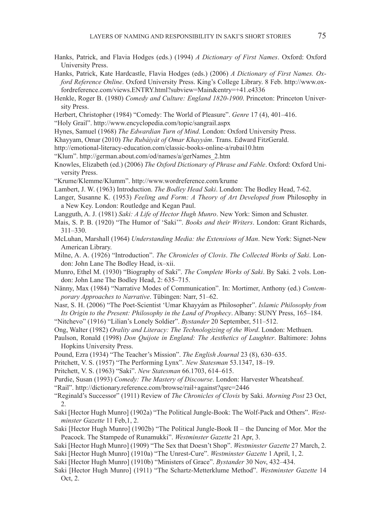- Hanks, Patrick, and Flavia Hodges (eds.) (1994) *A Dictionary of First Names*. Oxford: Oxford University Press.
- Hanks, Patrick, Kate Hardcastle, Flavia Hodges (eds.) (2006) *A Dictionary of First Names. Oxford Reference Online*. Oxford University Press. King's College Library. 8 Feb. http://www.oxfordreference.com/views.ENTRY.html?subview=Main&entry=+41.e4336
- Henkle, Roger B. (1980) *Comedy and Culture: England 1820-1900*. Princeton: Princeton University Press.
- Herbert, Christopher (1984) "Comedy: The World of Pleasure". *Genre* 17 (4), 401–416.
- "Holy Grail". http://www.encyclopedia.com/topic/sangrail.aspx
- Hynes, Samuel (1968) *The Edwardian Turn of Mind*. London: Oxford University Press.
- Khayyam, Omar (2010) *The Rubáiyát of Omar Khayyám*. Trans. Edward FitzGerald.
- http://emotional-literacy-education.com/classic-books-online-a/rubai10.htm
- "Klum". http://german.about.com/od/names/a/gerNames\_2.htm
- Knowles, Elizabeth (ed.) (2006) *The Oxford Dictionary of Phrase and Fable*. Oxford: Oxford University Press.
- "Krume/Klemme/Klumm". http://www.wordreference.com/krume
- Lambert, J. W. (1963) Introduction. *The Bodley Head Saki*. London: The Bodley Head, 7-62.
- Langer, Susanne K. (1953) *Feeling and Form: A Theory of Art Developed from* Philosophy in a New Key. London: Routledge and Kegan Paul.
- Langguth, A. J. (1981) *Saki: A Life of Hector Hugh Munro*. New York: Simon and Schuster.
- Mais, S. P. B. (1920) "The Humor of 'Saki'". *Books and their Writers*. London: Grant Richards, 311–330.
- McLuhan, Marshall (1964) *Understanding Media: the Extensions of Man*. New York: Signet-New American Library.
- Milne, A. A. (1926) "Introduction". *The Chronicles of Clovis*. *The Collected Works of Saki*. London: John Lane The Bodley Head, ix–xii.
- Munro, Ethel M. (1930) "Biography of Saki". *The Complete Works of Saki*. By Saki. 2 vols. London: John Lane The Bodley Head, 2: 635–715.
- Nänny, Max (1984) "Narrative Modes of Communication". In: Mortimer, Anthony (ed.) *Contemporary Approaches to Narrative*. Tübingen: Narr, 51–62.
- Nasr, S. H. (2006) "The Poet-Scientist 'Umar Khayyám as Philosopher". *Islamic Philosophy from Its Origin to the Present: Philosophy in the Land of Prophecy*. Albany: SUNY Press, 165–184.
- "Nitchevo" (1916) "Lilian's Lonely Soldier". *Bystander* 20 September, 511–512.
- Ong, Walter (1982) *Orality and Literacy: The Technologizing of the Word*. London: Methuen.
- Paulson, Ronald (1998) *Don Quijote in England: The Aesthetics of Laughter*. Baltimore: Johns Hopkins University Press.
- Pound, Ezra (1934) "The Teacher's Mission". *The English Journal* 23 (8), 630–635.
- Pritchett, V. S. (1957) "The Performing Lynx". *New Statesman* 53.1347, 18–19.
- Pritchett, V. S. (1963) "Saki". *New Statesman* 66.1703, 614–615.
- Purdie, Susan (1993) *Comedy: The Mastery of Discourse*. London: Harvester Wheatsheaf.
- "Rail". http://dictionary.reference.com/browse/rail+against?qsrc=2446
- "Reginald's Successor" (1911) Review of *The Chronicles of Clovis* by Saki. *Morning Post* 23 Oct, 2.
- Saki [Hector Hugh Munro] (1902a) "The Political Jungle-Book: The Wolf-Pack and Others". *Westminster Gazette* 11 Feb,1, 2.
- Saki [Hector Hugh Munro] (1902b) "The Political Jungle-Book II the Dancing of Mor. Mor the Peacock. The Stampede of Runamukki". *Westminster Gazette* 21 Apr, 3.
- Saki [Hector Hugh Munro] (1909) "The Sex that Doesn't Shop". *Westminster Gazette* 27 March, 2.
- Saki [Hector Hugh Munro] (1910a) "The Unrest-Cure". *Westminster Gazette* 1 April, 1, 2.
- Saki [Hector Hugh Munro] (1910b) "Ministers of Grace". *Bystander* 30 Nov, 432–434.
- Saki [Hector Hugh Munro] (1911) "The Schartz-Metterklume Method". *Westminster Gazette* 14 Oct, 2.